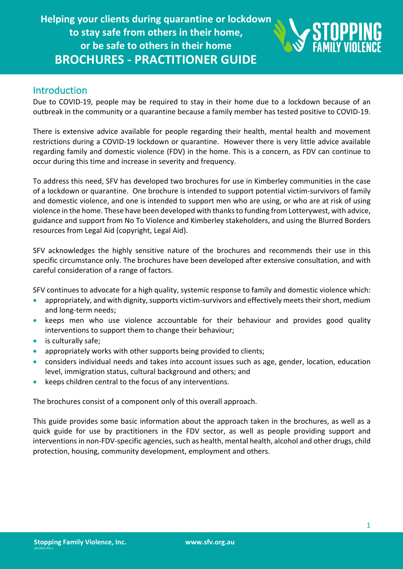

## Introduction

Due to COVID-19, people may be required to stay in their home due to a lockdown because of an outbreak in the community or a quarantine because a family member has tested positive to COVID-19.

There is extensive advice available for people regarding their health, mental health and movement restrictions during a COVID-19 lockdown or quarantine. However there is very little advice available regarding family and domestic violence (FDV) in the home. This is a concern, as FDV can continue to occur during this time and increase in severity and frequency.

To address this need, SFV has developed two brochures for use in Kimberley communities in the case of a lockdown or quarantine. One brochure is intended to support potential victim-survivors of family and domestic violence, and one is intended to support men who are using, or who are at risk of using violence in the home. These have been developed with thanks to funding from Lotterywest, with advice, guidance and support from No To Violence and Kimberley stakeholders, and using the Blurred Borders resources from Legal Aid (copyright, Legal Aid).

SFV acknowledges the highly sensitive nature of the brochures and recommends their use in this specific circumstance only. The brochures have been developed after extensive consultation, and with careful consideration of a range of factors.

SFV continues to advocate for a high quality, systemic response to family and domestic violence which:

- appropriately, and with dignity, supports victim-survivors and effectively meets their short, medium and long-term needs;
- keeps men who use violence accountable for their behaviour and provides good quality interventions to support them to change their behaviour;
- is culturally safe;
- appropriately works with other supports being provided to clients;
- considers individual needs and takes into account issues such as age, gender, location, education level, immigration status, cultural background and others; and
- keeps children central to the focus of any interventions.

The brochures consist of a component only of this overall approach.

This guide provides some basic information about the approach taken in the brochures, as well as a quick guide for use by practitioners in the FDV sector, as well as people providing support and interventions in non-FDV-specific agencies, such as health, mental health, alcohol and other drugs, child protection, housing, community development, employment and others.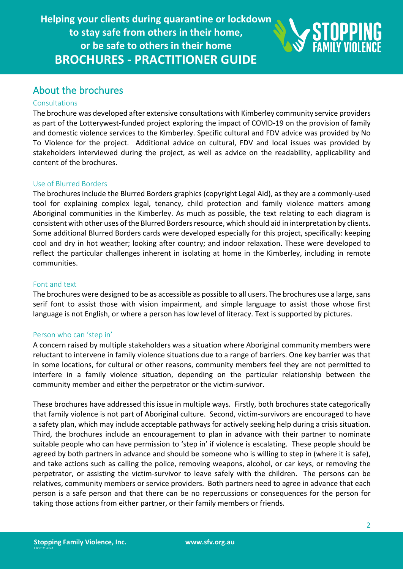

## About the brochures

### Consultations

The brochure was developed after extensive consultations with Kimberley community service providers as part of the Lotterywest-funded project exploring the impact of COVID-19 on the provision of family and domestic violence services to the Kimberley. Specific cultural and FDV advice was provided by No To Violence for the project. Additional advice on cultural, FDV and local issues was provided by stakeholders interviewed during the project, as well as advice on the readability, applicability and content of the brochures.

#### Use of Blurred Borders

The brochures include the Blurred Borders graphics (copyright Legal Aid), as they are a commonly-used tool for explaining complex legal, tenancy, child protection and family violence matters among Aboriginal communities in the Kimberley. As much as possible, the text relating to each diagram is consistent with other uses of the Blurred Borders resource, which should aid in interpretation by clients. Some additional Blurred Borders cards were developed especially for this project, specifically: keeping cool and dry in hot weather; looking after country; and indoor relaxation. These were developed to reflect the particular challenges inherent in isolating at home in the Kimberley, including in remote communities.

#### Font and text

The brochures were designed to be as accessible as possible to all users. The brochures use a large, sans serif font to assist those with vision impairment, and simple language to assist those whose first language is not English, or where a person has low level of literacy. Text is supported by pictures.

#### Person who can 'step in'

A concern raised by multiple stakeholders was a situation where Aboriginal community members were reluctant to intervene in family violence situations due to a range of barriers. One key barrier was that in some locations, for cultural or other reasons, community members feel they are not permitted to interfere in a family violence situation, depending on the particular relationship between the community member and either the perpetrator or the victim-survivor.

These brochures have addressed this issue in multiple ways. Firstly, both brochures state categorically that family violence is not part of Aboriginal culture. Second, victim-survivors are encouraged to have a safety plan, which may include acceptable pathways for actively seeking help during a crisis situation. Third, the brochures include an encouragement to plan in advance with their partner to nominate suitable people who can have permission to 'step in' if violence is escalating. These people should be agreed by both partners in advance and should be someone who is willing to step in (where it is safe), and take actions such as calling the police, removing weapons, alcohol, or car keys, or removing the perpetrator, or assisting the victim-survivor to leave safely with the children. The persons can be relatives, community members or service providers. Both partners need to agree in advance that each person is a safe person and that there can be no repercussions or consequences for the person for taking those actions from either partner, or their family members or friends.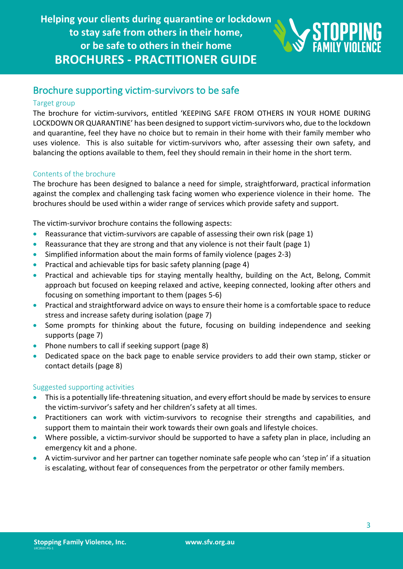

## Brochure supporting victim-survivors to be safe

### Target group

The brochure for victim-survivors, entitled 'KEEPING SAFE FROM OTHERS IN YOUR HOME DURING LOCKDOWN OR QUARANTINE' has been designed to support victim-survivors who, due to the lockdown and quarantine, feel they have no choice but to remain in their home with their family member who uses violence. This is also suitable for victim-survivors who, after assessing their own safety, and balancing the options available to them, feel they should remain in their home in the short term.

### Contents of the brochure

The brochure has been designed to balance a need for simple, straightforward, practical information against the complex and challenging task facing women who experience violence in their home. The brochures should be used within a wider range of services which provide safety and support.

The victim-survivor brochure contains the following aspects:

- Reassurance that victim-survivors are capable of assessing their own risk (page 1)
- Reassurance that they are strong and that any violence is not their fault (page 1)
- Simplified information about the main forms of family violence (pages 2-3)
- Practical and achievable tips for basic safety planning (page 4)
- Practical and achievable tips for staying mentally healthy, building on the Act, Belong, Commit approach but focused on keeping relaxed and active, keeping connected, looking after others and focusing on something important to them (pages 5-6)
- Practical and straightforward advice on ways to ensure their home is a comfortable space to reduce stress and increase safety during isolation (page 7)
- Some prompts for thinking about the future, focusing on building independence and seeking supports (page 7)
- Phone numbers to call if seeking support (page 8)
- Dedicated space on the back page to enable service providers to add their own stamp, sticker or contact details (page 8)

### Suggested supporting activities

- This is a potentially life-threatening situation, and every effort should be made by services to ensure the victim-survivor's safety and her children's safety at all times.
- Practitioners can work with victim-survivors to recognise their strengths and capabilities, and support them to maintain their work towards their own goals and lifestyle choices.
- Where possible, a victim-survivor should be supported to have a safety plan in place, including an emergency kit and a phone.
- A victim-survivor and her partner can together nominate safe people who can 'step in' if a situation is escalating, without fear of consequences from the perpetrator or other family members.